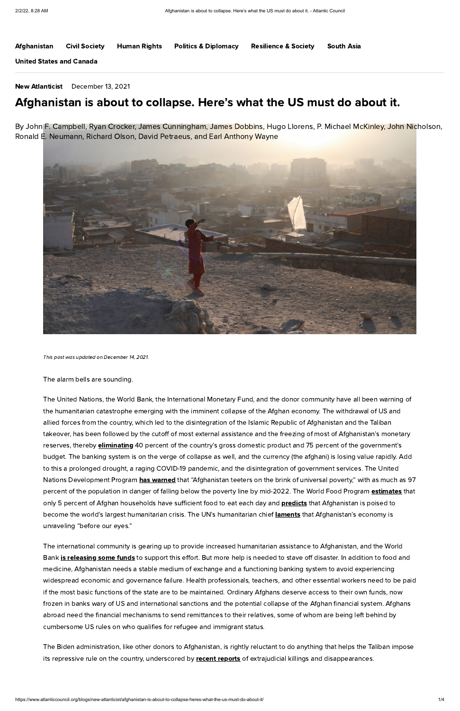The United Nations, the World Bank, the International Monetary Fund, and the donor community have all been warning of the humanitarian catastrophe emerging with the imminent collapse of the Afghan economy. The withdrawal of US and allied forces from the country, which led to the disintegration of the Islamic Republic of Afghanistan and the Taliban takeover, has been followed by the cutoff of most external assistance and the freezing of most of Afghanistan's monetary reserves, thereby **[eliminating](https://www.voanews.com/a/envoy-us-concerned-about-worsening-humanitarian-crisis-in-afghanistan-/6325852.html)** 40 percent of the country's gross domestic product and 75 percent of the government's budget. The banking system is on the verge of collapse as well, and the currency (the afghani) is losing value rapidly. Add to this a prolonged drought, a raging COVID-19 pandemic, and the disintegration of government services. The United Nations Development Program has [warned](https://www.undp.org/press-releases/97-percent-afghans-could-plunge-poverty-mid-2022-says-undp) that "Afghanistan teeters on the brink of universal poverty," with as much as 97 percent of the population in danger of falling below the poverty line by mid-2022. The World Food Program *[estimates](https://www.wfp.org/news/educated-urban-afghans-are-new-face-hunger-jobs-and-incomes-dry)* that only 5 percent of Afghan households have sufficient food to eat each day and **[predicts](https://www.wfp.org/stories/afghanistan-climate-crisis-drought-wfp-hunger-cop26-ipc-un)** that Afghanistan is poised to become the world's largest humanitarian crisis. The UN's humanitarian chief **[laments](https://www.npr.org/2021/12/10/1062946434/the-united-nations-says-afghanistans-economy-is-collapsing-before-our-eyeshttps:/www.npr.org/2021/12/10/1062946434/the-united-nations-says-afghanistans-economy-is-collapsing-before-our-eyes)** that Afghanistan's economy is

The alarm bells are sounding.

The Biden administration, like other donors to Afghanistan, is rightly reluctant to do anything that helps the Taliban impose its repressive rule on the country, underscored by recent [reports](https://www.cnn.com/2021/12/04/asia/us-afghanistan-taliban-summary-killings-intl-hnk/index.html) of extrajudicial killings and disappearances.

unraveling "before our eyes."

By John F. Campbell, Ryan Crocker, James Cunningham, James Dobbins, Hugo Llorens, P. Michael McKinley, John Nicholson, Ronald E. Neumann, Richard Olson, David Petraeus, and Earl Anthony Wayne



The international community is gearing up to provide increased humanitarian assistance to Afghanistan, and the World Bank **is [releasing](https://www.worldbank.org/en/news/press-release/2021/12/10/-statement-on-the-decision-of-artf-donors-to-transfer-out-280-million-for-the-humanitarian-response-in-afghanistan) some funds** to support this effort. But more help is needed to stave off disaster. In addition to food and medicine, Afghanistan needs a stable medium of exchange and a functioning banking system to avoid experiencing widespread economic and governance failure. Health professionals, teachers, and other essential workers need to be paid if the most basic functions of the state are to be maintained. Ordinary Afghans deserve access to their own funds, now frozen in banks wary of US and international sanctions and the potential collapse of the Afghan financial system. Afghans abroad need the financial mechanisms to send remittances to their relatives, some of whom are being left behind by cumbersome US rules on who qualifies for refugee and immigrant status.

This post was updated on December 14, 2021.

|  | <b>Afghanistan Civil Society</b> | Human Rights | <b>Politics &amp; Diplomacy</b> | <b>Resilience &amp; Society</b> | South Asia |  |
|--|----------------------------------|--------------|---------------------------------|---------------------------------|------------|--|
|--|----------------------------------|--------------|---------------------------------|---------------------------------|------------|--|

United States and [Canada](https://www.atlanticcouncil.org/region/united-states-canada/)

New [Atlanticist](https://www.atlanticcouncil.org/category/blogs/new-atlanticist/) December 13, 2021

## Afghanistan is about to collapse. Here's what the US must do about it.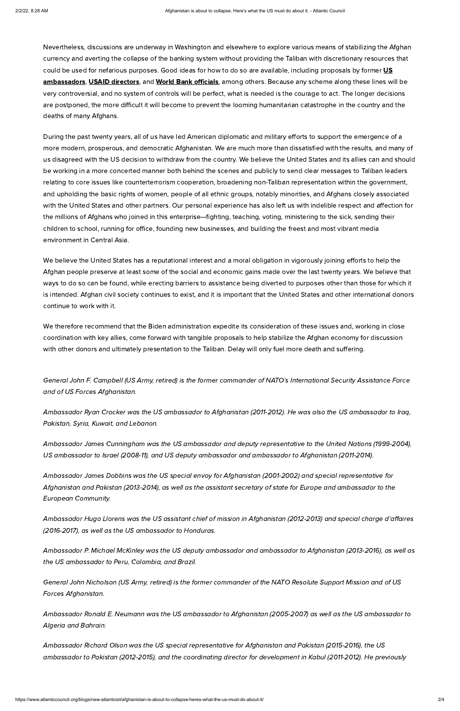Nevertheless, discussions are underway in Washington and elsewhere to explore various means of stabilizing the Afghan currency and averting the collapse of the banking system without providing the Taliban with discretionary resources that could be used for nefarious purposes. Good ideas for how to do so are available, including proposals by former US [ambassadors,](https://www.foreignaffairs.com/articles/afghanistan/2021-12-03/afghanistans-looming-catastrophe) USAID [directors](https://thehill.com/opinion/international/584745-afghanistan-has-become-a-test-for-us-humanitarianism), and World Bank [officials](https://www.usip.org/publications/2021/11/key-afghan-relief-efforts-financial-engineering-private-sector-economy), among others. Because any scheme along these lines will be very controversial, and no system of controls will be perfect, what is needed is the courage to act. The longer decisions are postponed, the more difficult it will become to prevent the looming humanitarian catastrophe in the country and the deaths of many Afghans.

During the past twenty years, all of us have led American diplomatic and military efforts to support the emergence of a more modern, prosperous, and democratic Afghanistan. We are much more than dissatisfied with the results, and many of us disagreed with the US decision to withdraw from the country. We believe the United States and its allies can and should be working in a more concerted manner both behind the scenes and publicly to send clear messages to Taliban leaders relating to core issues like counterterrorism cooperation, broadening non-Taliban representation within the government, and upholding the basic rights of women, people of all ethnic groups, notably minorities, and Afghans closely associated with the United States and other partners. Our personal experience has also left us with indelible respect and affection for the millions of Afghans who joined in this enterprise—fighting, teaching, voting, ministering to the sick, sending their children to school, running for office, founding new businesses, and building the freest and most vibrant media environment in Central Asia.

We believe the United States has a reputational interest and a moral obligation in vigorously joining efforts to help the Afghan people preserve at least some of the social and economic gains made over the last twenty years. We believe that ways to do so can be found, while erecting barriers to assistance being diverted to purposes other than those for which it is intended. Afghan civil society continues to exist, and it is important that the United States and other international donors continue to work with it.

We therefore recommend that the Biden administration expedite its consideration of these issues and, working in close coordination with key allies, come forward with tangible proposals to help stabilize the Afghan economy for discussion with other donors and ultimately presentation to the Taliban. Delay will only fuel more death and suffering.

General John F. Campbell (US Army, retired) is the former commander of NATO's International Security Assistance Force and of US Forces Afghanistan.

Ambassador Ryan Crocker was the US ambassador to Afghanistan (2011-2012). He was also the US ambassador to Iraq, Pakistan, Syria, Kuwait, and Lebanon.

Ambassador James Cunningham was the US ambassador and deputy representative to the United Nations (1999-2004), US ambassador to Israel (2008-11), and US deputy ambassador and ambassador to Afghanistan (2011-2014).

Ambassador James Dobbins was the US special envoy for Afghanistan (2001-2002) and special representative for Afghanistan and Pakistan (2013-2014), as well as the assistant secretary of state for Europe and ambassador to the European Community.

Ambassador Hugo Llorens was the US assistant chief of mission in Afghanistan (2012-2013) and special charge d'affaires

#### (2016-2017), as well as the US ambassador to Honduras.

Ambassador P. Michael McKinley was the US deputy ambassador and ambassador to Afghanistan (2013-2016), as well as the US ambassador to Peru, Colombia, and Brazil.

General John Nicholson (US Army, retired) is the former commander of the NATO Resolute Support Mission and of US Forces Afghanistan.

Ambassador Ronald E. Neumann was the US ambassador to Afghanistan (2005-2007) as well as the US ambassador to Algeria and Bahrain.

Ambassador Richard Olson was the US special representative for Afghanistan and Pakistan (2015-2016), the US ambassador to Pakistan (2012-2015), and the coordinating director for development in Kabul (2011-2012). He previously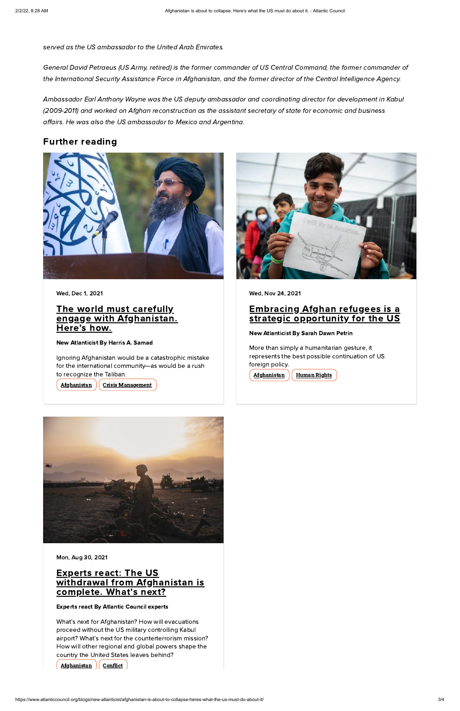served as the US ambassador to the United Arab Emirates.

General David Petraeus (US Army, retired) is the former commander of US Central Command, the former commander of the International Security Assistance Force in Afghanistan, and the former director of the Central Intelligence Agency.

#### The world must carefully engage with [Afghanistan.](https://www.atlanticcouncil.org/blogs/new-atlanticist/the-world-must-carefully-engage-with-afghanistan-heres-how/) Here's how.

#### Embracing Afghan refugees is a strategic [opportunity](https://www.atlanticcouncil.org/blogs/new-atlanticist/embracing-afghan-refugees-is-a-strategic-opportunity-for-the-us/) for the US

Ambassador Earl Anthony Wayne was the US deputy ambassador and coordinating director for development in Kabul (2009-2011) and worked on Afghan reconstruction as the assistant secretary of state for economic and business affairs. He was also the US ambassador to Mexico and Argentina.

#### **Experts react: The US** withdrawal from [Afghanistan](https://www.atlanticcouncil.org/blogs/new-atlanticist/experts-react-the-us-withdrawal-from-afghanistan-is-complete-whats-next/) is complete. What's next?

### Further reading



Wed, Dec 1, 2021

New Atlanticist By Harris A. [Samad](https://www.atlanticcouncil.org/expert/harris-a-samad/)

Ignoring Afghanistan would be a catastrophic mistake for the international community—as would be a rush to recognize the Taliban.

[Afghanistan](https://www.atlanticcouncil.org/region/afghanistan/) | Crisis [Management](https://www.atlanticcouncil.org/issue/crisis-management/)



Wed, Nov 24, 2021

New Atlanticist By Sarah Dawn [Petrin](https://www.atlanticcouncil.org/expert/sarah-dawn-petrin/)

More than simply a humanitarian gesture, it represents the best possible continuation of US foreign policy.

[Afghanistan](https://www.atlanticcouncil.org/region/afghanistan/) | [Human](https://www.atlanticcouncil.org/issue/human-rights/) Rights



#### Mon, Aug 30, 2021

#### Experts react By Atlantic Council experts

What's next for Afghanistan? How will evacuations proceed without the US military controlling Kabul airport? What's next for the counterterrorism mission? How will other regional and global powers shape the country the United States leaves behind?

#### [Afghanistan](https://www.atlanticcouncil.org/region/afghanistan/)  $\int$  [Conflict](https://www.atlanticcouncil.org/issue/conflict/)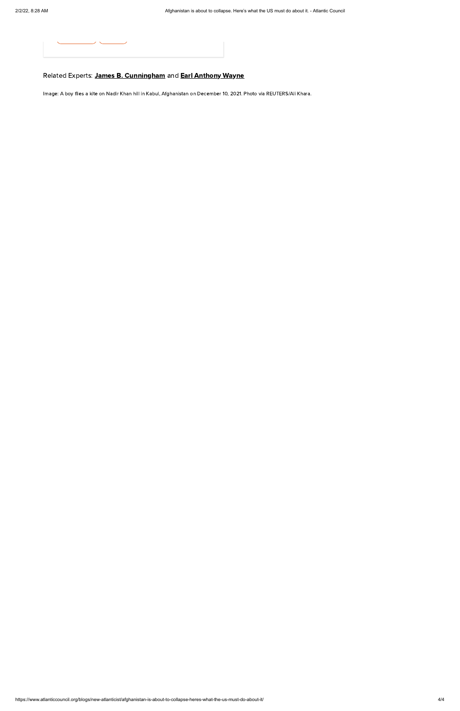

## Related Experts: **James B. [Cunningham](https://www.atlanticcouncil.org/expert/james-b-cunningham/)** and **Earl [Anthony](https://www.atlanticcouncil.org/expert/earl-anthony-wayne/) Wayne**

https://www.atlanticcouncil.org/blogs/new-atlanticist/afghanistan-is-about-to-collapse-heres-what-the-us-must-do-about-it/ 4/4

Image: A boy flies a kite on Nadir Khan hill in Kabul, Afghanistan on December 10, 2021. Photo via REUTERS/Ali Khara.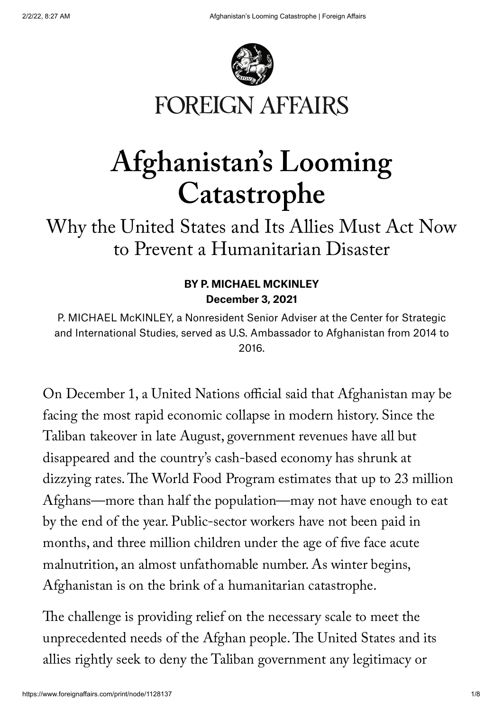

# **FOREIGN AFFAIRS**

# **Afghanistan ' s Looming Catastrophe**

## Why the United States and Its Allies Must Act Now to Prevent a Humanitarian Disaster

## BY P. MICHAEL [MCKINLEY](#page-4-0) December 3, 2021

<span id="page-4-0"></span>P. MICHAEL McKINLEY, a Nonresident Senior Adviser at the Center for Strategic and International Studies, served as U.S. Ambassador to Afghanistan from 2014 to 2016.

On December 1, a United Nations official said that Afghanistan may be facing the most rapid economic collapse in modern history. Since the Taliban takeover in late August, government revenues have all but disappeared and the country ' s cash-based economy has shrunk at dizzying rates.The World Food Program estimates that up to 23 million Afghans—more than half the population—may not have enough to eat by the end of the year. Public-sector workers have not been paid in months, and three million children under the age of five face acute malnutrition, an almost unfathomable number. As winter begins, Afghanistan is on the brink of a humanitarian catastrophe.

The challenge is providing relief on the necessary scale to meet the unprecedented needs of the Afghan people.The United States and its allies rightly seek to deny the Taliban government any legitimacy or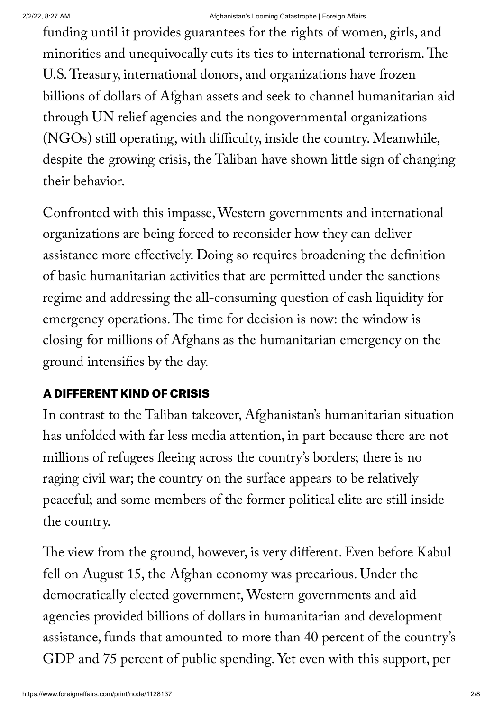#### 2/2/22, 8:27 AM Afghanistan's Looming Catastrophe | Foreign Affairs

funding until it provides guarantees for the rights of women, girls, and minorities and unequivocally cuts its ties to international terrorism.The U.S.Treasury, international donors, and organizations have frozen billions of dollars of Afghan assets and seek to channel humanitarian aid through UN relief agencies and the nongovernmental organizations (NGOs) still operating, with difficulty, inside the country. Meanwhile, despite the growing crisis, the Taliban have shown little sign of changing their behavior.

Confronted with this impasse,Western governments and international organizations are being forced to reconsider how they can deliver assistance more effectively. Doing so requires broadening the definition of basic humanitarian activities that are permitted under the sanctions regime and addressing the all-consuming question of cash liquidity for emergency operations.The time for decision is now: the window is closing for millions of Afghans as the humanitarian emergency on the ground intensifies by the day.

## A DIFFERENT KIND OF CRISIS

In contrast to the Taliban takeover, Afghanistan's humanitarian situation has unfolded with far less media attention, in part because there are not millions of refugees fleeing across the country ' s borders; there is no raging civil war; the country on the surface appears to be relatively peaceful; and some members of the former political elite are still inside the country.

The view from the ground, however, is very different. Even before Kabul fell on August 15, the Afghan economy was precarious. Under the democratically elected government,Western governments and aid agencies provided billions of dollars in humanitarian and development assistance, funds that amounted to more than 40 percent of the country ' s GDP and 75 percent of public spending. Yet even with this support, per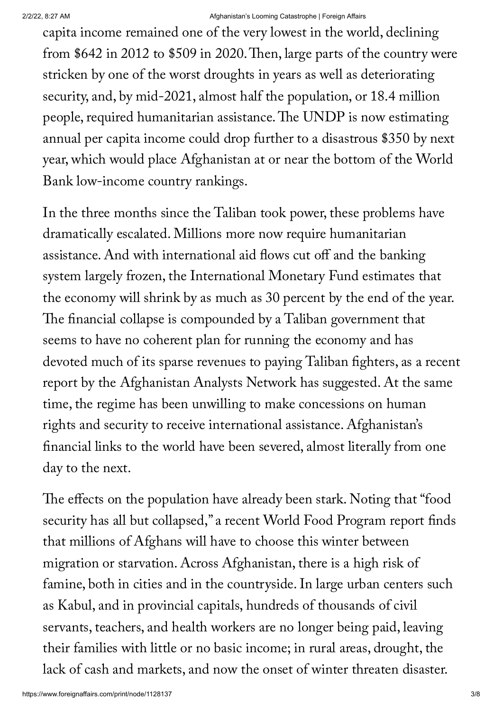#### 2/2/22, 8:27 AM Afghanistan's Looming Catastrophe | Foreign Affairs

capita income remained one of the very lowest in the world, declining from \$642 in 2012 to \$509 in 2020.Then, large parts of the country were stricken by one of the worst droughts in years as well as deteriorating security, and, by mid-2021, almost half the population, or 18.4 million people, required humanitarian assistance.The UNDP is now estimating annual per capita income could drop further to a disastrous \$350 by next year, which would place Afghanistan at or near the bottom of the World Bank low-income country rankings.

In the three months since the Taliban took power, these problems have dramatically escalated. Millions more now require humanitarian assistance. And with international aid flows cut off and the banking system largely frozen, the International Monetary Fund estimates that the economy will shrink by as much as 30 percent by the end of the year. The financial collapse is compounded by a Taliban government that seems to have no coherent plan for running the economy and has devoted much of its sparse revenues to paying Taliban fighters, as a recent report by the Afghanistan Analysts Network has suggested. At the same time, the regime has been unwilling to make concessions on human rights and security to receive international assistance. Afghanistan 's financial links to the world have been severed, almost literally from one day to the next.

The effects on the population have already been stark. Noting that "food security has all but collapsed, " a recent World Food Program report finds that millions of Afghans will have to choose this winter between migration or starvation. Across Afghanistan, there is a high risk of famine, both in cities and in the countryside.In large urban centers such as Kabul, and in provincial capitals, hundreds of thousands of civil servants, teachers, and health workers are no longer being paid, leaving their families with little or no basic income; in rural areas, drought, the lack of cash and markets, and now the onset of winter threaten disaster.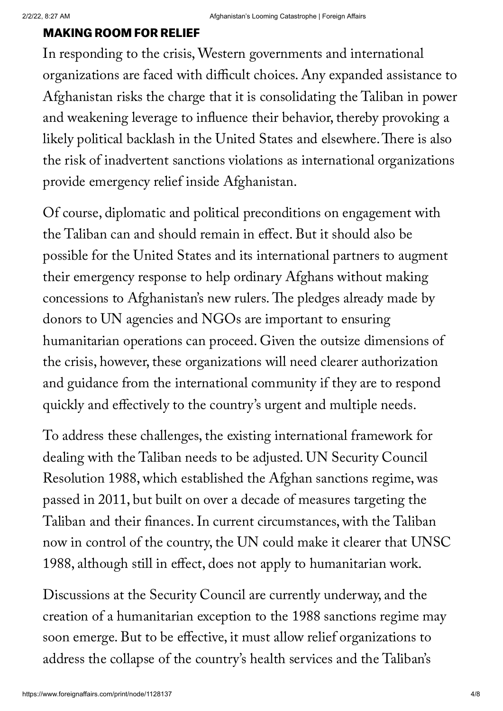#### MAKING ROOM FOR RELIEF

In responding to the crisis,Western governments and international organizations are faced with difficult choices. Any expanded assistance to Afghanistan risks the charge that it is consolidating the Taliban in power and weakening leverage to influence their behavior, thereby provoking a likely political backlash in the United States and elsewhere.There is also the risk of inadvertent sanctions violations as international organizations provide emergency relief inside Afghanistan.

Of course, diplomatic and political preconditions on engagement with the Taliban can and should remain in effect. But it should also be possible for the United States and its international partners to augment their emergency response to help ordinary Afghans without making concessions to Afghanistan 's new rulers. The pledges already made by donors to UN agencies and NGOs are important to ensuring humanitarian operations can proceed. Given the outsize dimensions of the crisis, however, these organizations will need clearer authorization and guidance from the international community if they are to respond quickly and effectively to the country ' s urgent and multiple needs.

To address these challenges, the existing international framework for dealing with the Taliban needs to be adjusted. UN Security Council Resolution 1988, which established the Afghan sanctions regime, was passed in 2011, but built on over a decade of measures targeting the Taliban and their finances.In current circumstances, with the Taliban now in control of the country, the UN could make it clearer that UNSC 1988, although still in effect, does not apply to humanitarian work.

Discussions at the Security Council are currently underway, and the creation of a humanitarian exception to the 1988 sanctions regime may soon emerge. But to be effective, it must allow relief organizations to address the collapse of the country ' s health services and the Taliban ' s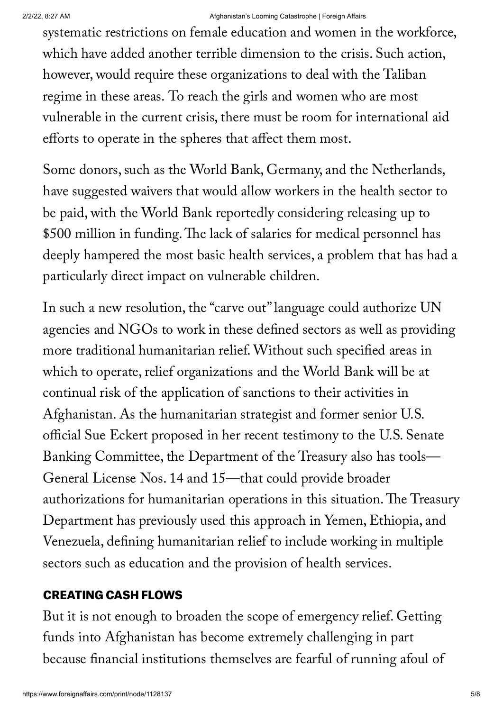#### 2/2/22, 8:27 AM Afghanistan's Looming Catastrophe | Foreign Affairs

systematic restrictions on female education and women in the workforce, which have added another terrible dimension to the crisis. Such action, however, would require these organizations to deal with the Taliban regime in these areas. To reach the girls and women who are most vulnerable in the current crisis, there must be room for international aid efforts to operate in the spheres that affect them most.

Some donors, such as the World Bank, Germany, and the Netherlands, have suggested waivers that would allow workers in the health sector to be paid, with the World Bank reportedly considering releasing up to \$500 million in funding.The lack of salaries for medical personnel has deeply hampered the most basic health services, a problem that has had a particularly direct impact on vulnerable children.

In such a new resolution, the " carve out"language could authorize UN agencies and NGOs to work in these defined sectors as well as providing more traditional humanitarian relief.Without such specified areas in which to operate, relief organizations and the World Bank will be at continual risk of the application of sanctions to their activities in Afghanistan. As the humanitarian strategist and former senior U.S. official Sue Eckert proposed in her recent testimony to the U.S. Senate Banking Committee, the Department of the Treasury also has tools— General License Nos. 14 and 15—that could provide broader authorizations for humanitarian operations in this situation.The Treasury Department has previously used this approach in Yemen, Ethiopia, and Venezuela, defining humanitarian relief to include working in multiple sectors such as education and the provision of health services.

## CREATING CASH FLOWS

But it is not enough to broaden the scope of emergency relief. Getting funds into Afghanistan has become extremely challenging in part because financial institutions themselves are fearful of running afoul of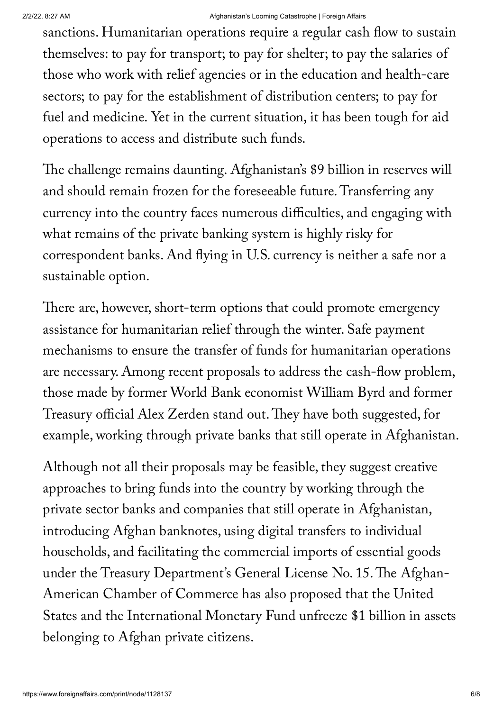sanctions. Humanitarian operations require a regular cash flow to sustain themselves: to pay for transport; to pay for shelter; to pay the salaries of those who work with relief agencies or in the education and health-care sectors; to pay for the establishment of distribution centers; to pay for fuel and medicine. Yet in the current situation, it has been tough for aid operations to access and distribute such funds.

The challenge remains daunting. Afghanistan's \$9 billion in reserves will and should remain frozen for the foreseeable future.Transferring any currency into the country faces numerous difficulties, and engaging with what remains of the private banking system is highly risky for correspondent banks. And flying in U.S. currency is neither a safe nor a sustainable option.

There are, however, short-term options that could promote emergency assistance for humanitarian relief through the winter. Safe payment mechanisms to ensure the transfer of funds for humanitarian operations are necessary. Among recent proposals to address the cash-flow problem, those made by former World Bank economist William Byrd and former Treasury official Alex Zerden stand out.They have both suggested, for example, working through private banks that still operate in Afghanistan.

Although not all their proposals may be feasible, they suggest creative approaches to bring funds into the country by working through the private sector banks and companies that still operate in Afghanistan, introducing Afghan banknotes, using digital transfers to individual households, and facilitating the commercial imports of essential goods under the Treasury Department's General License No. 15. The Afghan-American Chamber of Commerce has also proposed that the United States and the International Monetary Fund unfreeze \$1 billion in assets belonging to Afghan private citizens.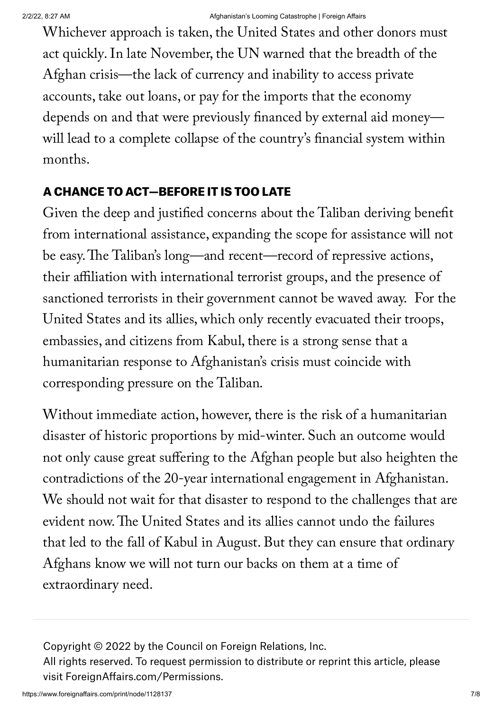Whichever approach is taken, the United States and other donors must act [quickly.](https://www.foreignaffairs.com/articles/afghanistan/2021-09-02/american-credibility-after-afghanistan)In late November, the UN warned that the breadth of the Afghan crisis—the lack of currency and inability to access private accounts, take out loans, or pay for the imports that the economy depends on and that were previously financed by external aid money will lead to a complete collapse of the country ' s financial system within months.

## A CHANCE TO ACT—BEFORE IT IS TOO LATE

Given the deep and justified [concerns](https://www.foreignaffairs.com/articles/afghanistan/2021-09-20/how-america-should-deal-taliban) about the Taliban deriving benefit from international assistance, expanding the scope for assistance will not be easy. The Taliban's long—and [recent—](https://www.foreignaffairs.com/articles/afghanistan/2021-11-09/new-afghanistan-same-old-taliban)record of repressive actions, their affiliation with international terrorist groups, and the presence of sanctioned terrorists in their government cannot be waved away. For the United States and its allies, which only recently [evacuated](https://www.foreignaffairs.com/articles/afghanistan/2021-10-11/why-afghanistan-fell) their troops, embassies, and citizens from Kabul, there is a strong sense that a humanitarian response to Afghanistan 's crisis must coincide with corresponding pressure on the Taliban.

Without immediate action, however, there is the risk of a humanitarian disaster of historic proportions by mid-winter. Such an outcome would not only cause great suffering to the Afghan people but also heighten the contradictions of the 20-year international engagement in Afghanistan. We should not wait for that disaster to respond to the challenges that are evident now.The United States and its allies cannot undo the [failures](https://www.foreignaffairs.com/articles/united-states/2021-08-16/we-all-lost-afghanistan-taliban) that led to the fall of Kabul in August. But they can ensure that ordinary Afghans know we will not turn our backs on them at a time of extraordinary need.

Copyright © 2022 by the Council on Foreign Relations, Inc. All rights reserved. To request permission to distribute or reprint this article, please visit [ForeignAffairs.com/Permissions.](https://foreignaffairs.com/permissions)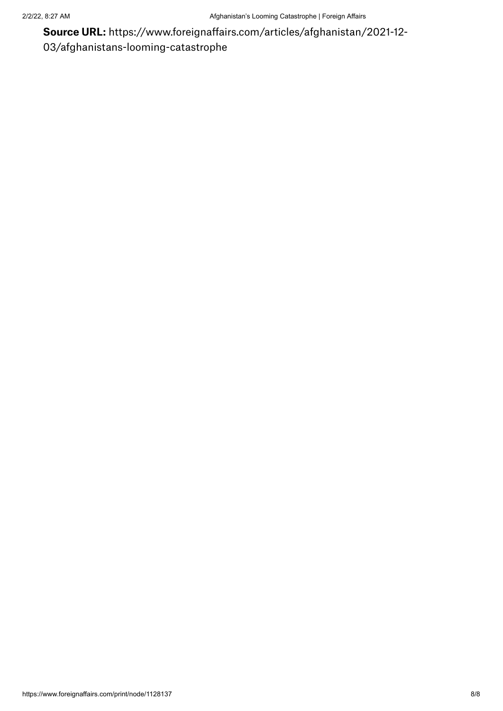Source URL: https://www.foreignaffairs.com/articles/afghanistan/2021-12- 03/afghanistans-looming-catastrophe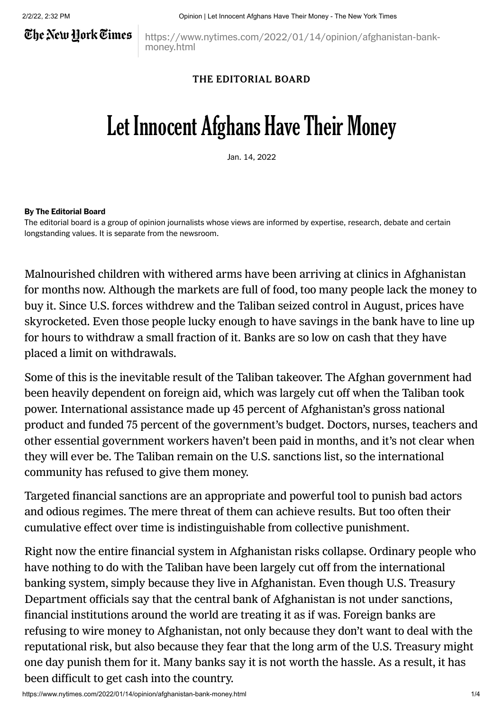## The New Hork Times

https://www.nytimes.com/2022/01/14/opinion/afghanistan-bankmoney.html

#### THE EDITORIAL BOARD

# Let Innocent Afghans Have Their Money

Jan. 14, 2022

#### By [The Editorial Board](https://www.nytimes.com/interactive/2018/opinion/editorialboard.html)

The editorial board is a group of opinion journalists whose views are informed by expertise, research, debate and certain longstanding [values](https://www.nytimes.com/interactive/2018/opinion/editorialboard.html). It is separate from the newsroom.

[Malnourished](https://www.nytimes.com/2021/12/15/podcasts/the-daily/afghanistan-economy-taliban.html) children with withered arms have been arriving at clinics in [Afghanistan](https://www.nytimes.com/2021/12/04/world/asia/afghanistan-starvation-crisis.html) for months now. Although the markets are full of food, too many people lack the money to buy it. Since U.S. forces withdrew and the Taliban seized control in August, prices have [skyrocketed.](https://www.jurist.org/news/2021/12/afghanistan-dispatches-long-lines-and-long-waiting-hours-at-the-only-functioning-bank-in-northern-afghanistan-becomes-routine-for-cash-strapped-citizens/) Even those people lucky enough to have savings in the bank have to line up for hours to withdraw a small fraction of it. Banks are so low on cash that they have placed a limit on withdrawals.

Some of this is the inevitable result of the Taliban takeover. The Afghan government had been heavily [dependent](https://www.nytimes.com/2021/12/18/podcasts/afghanistan-sanctions-the-daily.html) on foreign aid, which was largely cut off when the Taliban took power. International assistance made up 45 [percent](https://www.nytimes.com/2021/12/18/podcasts/afghanistan-sanctions-the-daily.html) of Afghanistan's gross national product and funded 75 percent of the government's budget. Doctors, nurses, teachers and other essential government workers haven't been paid in months, and it's not clear when they will ever be. The Taliban remain on the U.S. sanctions list, so the international community has refused to give them money.

Targeted financial sanctions are an appropriate and powerful tool to punish bad actors and odious regimes. The mere threat of them can achieve results. But too often their cumulative effect over time is [indistinguishable](https://www.nytimes.com/2020/10/13/opinion/iran-trump-sanctions-covid.html) from collective punishment.

Right now the entire financial system in Afghanistan risks [collapse](https://www.reuters.com/business/finance/exclusive-un-warns-colossal-collapse-afghan-banking-system-2021-11-22/). Ordinary people who have nothing to do with the Taliban have been largely cut off from the international banking system, simply because they live in Afghanistan. Even though U.S. Treasury Department officials say that the central bank of Afghanistan is not under sanctions, financial institutions around the world are treating it as if was. Foreign banks are refusing to wire money to Afghanistan, not only because they don't want to deal with the reputational risk, but also because they fear that the long arm of the U.S. Treasury might one day punish them for it. Many banks say it is not worth the hassle. As a result, it has been difficult to get cash into the country.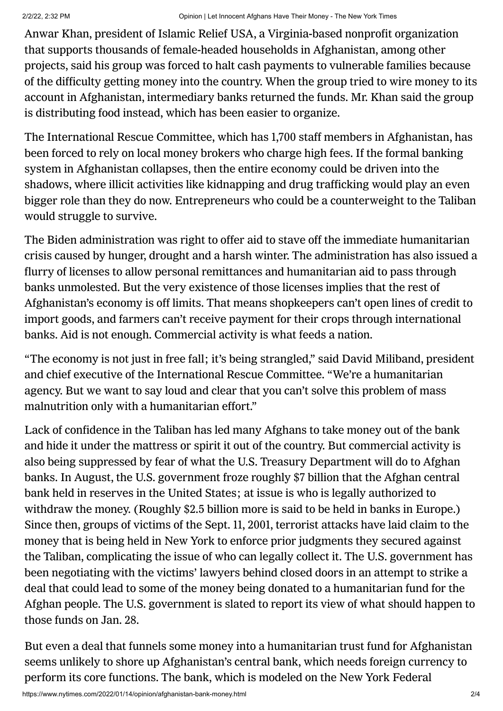Anwar Khan, president of Islamic Relief USA, a Virginia-based nonprofit organization that supports thousands of female-headed households in Afghanistan, among other projects, said his group was forced to halt cash payments to vulnerable families because of the difficulty getting money into the country. When the group tried to wire money to its account in Afghanistan, intermediary banks returned the funds. Mr. Khan said the group is distributing food instead, which has been easier to organize.

The International Rescue Committee, which has 1,700 staff members in Afghanistan, has been forced to rely on local money [brokers](https://www.nytimes.com/2021/09/02/business/economy/afghanistan-taliban-financial-crisis.html) who charge high fees. If the formal banking system in Afghanistan collapses, then the entire economy could be driven into the shadows, where illicit activities like kidnapping and drug trafficking would play an even bigger role than they do now. Entrepreneurs who could be a counterweight to the Taliban would struggle to survive.

The Biden administration was right to offer aid to stave off the immediate humanitarian crisis caused by hunger, drought and a harsh winter. The administration has also issued a flurry of licenses to allow personal remittances and humanitarian aid to pass through banks unmolested. But the very existence of those licenses implies that the rest of Afghanistan's economy is off limits. That means shopkeepers can't open lines of credit to import goods, and farmers can't receive payment for their crops through international banks. Aid is not enough. Commercial activity is what feeds a nation.

"The economy is not just in free fall; it's being strangled," said David Miliband, president and chief executive of the International Rescue Committee. "We're a humanitarian agency. But we want to say loud and clear that you can't solve this problem of mass malnutrition only with a humanitarian effort."

Lack of confidence in the Taliban has led many Afghans to take money out of the bank and hide it under the mattress or spirit it out of the country. But commercial activity is also being suppressed by fear of what the U.S. Treasury Department will do to Afghan banks. In August, the U.S. government froze roughly \$7 billion that the Afghan central bank held in reserves in the United States; at issue is who is legally authorized to withdraw the money. (Roughly \$2.5 billion more is said to be held in banks in Europe.) Since then, groups of victims of the Sept. 11, 2001, terrorist attacks have laid claim to the money that is being held in New York to enforce prior [judgments](https://www.nytimes.com/2021/11/29/us/politics/taliban-afghanistan-911-families-frozen-funds.html) they secured against the Taliban, complicating the issue of who can legally collect it. The U.S. government has been negotiating with the victims' lawyers behind closed doors in an attempt to strike a deal that could lead to some of the money being donated to a humanitarian fund for the Afghan people. The U.S. government is slated to report its view of what should happen to those funds on Jan. 28.

But even a deal that funnels some money into a humanitarian trust fund for Afghanistan seems unlikely to shore up Afghanistan's central bank, which needs foreign currency to perform its core functions. The bank, which is modeled on the New York Federal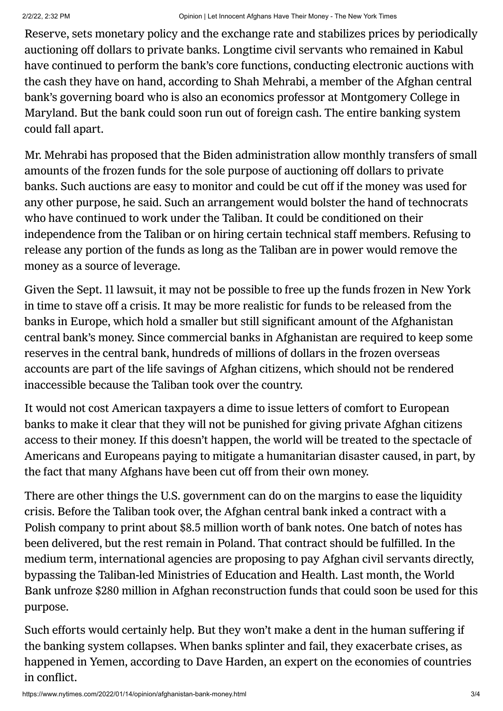Reserve, sets monetary policy and the exchange rate and stabilizes prices by periodically auctioning off dollars to private banks. Longtime civil servants who remained in Kabul have continued to perform the bank's core functions, conducting electronic auctions with the cash they have on hand, according to Shah Mehrabi, a member of the Afghan central bank's governing board who is also an economics professor at Montgomery College in [Maryland.](https://www.reuters.com/business/finance/exclusive-un-warns-colossal-collapse-afghan-banking-system-2021-11-22/) But the bank could soon run out of foreign cash. The entire banking system could fall apart.

Mr. Mehrabi has proposed that the Biden administration allow monthly transfers of small amounts of the frozen funds for the sole purpose of auctioning off dollars to private banks. Such auctions are easy to monitor and could be cut off if the money was used for any other purpose, he said. Such an arrangement would bolster the hand of technocrats who have continued to work under the Taliban. It could be conditioned on their independence from the Taliban or on hiring certain technical staff members. Refusing to release any portion of the funds as long as the Taliban are in power would remove the money as a source of leverage.

Given the Sept. 11 lawsuit, it may not be possible to free up the funds frozen in New York in time to stave off a crisis. It may be more realistic for funds to be released from the banks in Europe, which hold a smaller but still significant amount of the Afghanistan central bank's money. Since commercial banks in Afghanistan are required to keep some reserves in the central bank, hundreds of millions of dollars in the frozen overseas accounts are part of the life savings of Afghan citizens, which should not be rendered inaccessible because the Taliban took over the country.

It would not cost American taxpayers a dime to issue letters of comfort to European banks to make it clear that they will not be punished for giving private Afghan citizens access to their money. If this doesn't happen, the world will be treated to the spectacle of Americans and Europeans paying to mitigate a humanitarian disaster caused, in part, by the fact that many Afghans have been cut off from their own money.

There are other things the U.S. government can do on the margins to ease the liquidity crisis. Before the Taliban took over, the Afghan central bank inked a contract with a Polish company to print about \$8.5 [million](https://tolonews.com/business/polish-company-print-afghani-banknotes-worth-10-billion-npa) worth of bank notes. One batch of notes has been [delivered,](https://www.ibtimes.co.in/afghanistan-gets-first-batch-new-banknotes-poland-pics-here-832868) but the rest remain in Poland. That contract should be fulfilled. In the medium term, international agencies are proposing to pay Afghan civil servants directly, bypassing the Taliban-led Ministries of Education and Health. Last month, the World Bank [unfroze](https://www.france24.com/en/diplomacy/20220114-un-chief-urges-us-world-bank-to-release-afghanistan-funds-as-millions-on-verge-of-death) \$280 million in Afghan reconstruction funds that could soon be used for this purpose.

Such efforts would certainly help. But they won't make a dent in the human suffering if the banking system collapses. When banks splinter and fail, they exacerbate crises, as happened in Yemen, according to Dave [Harden,](https://www.georgetownstrategy.org/team) an expert on the economies of countries in conflict.